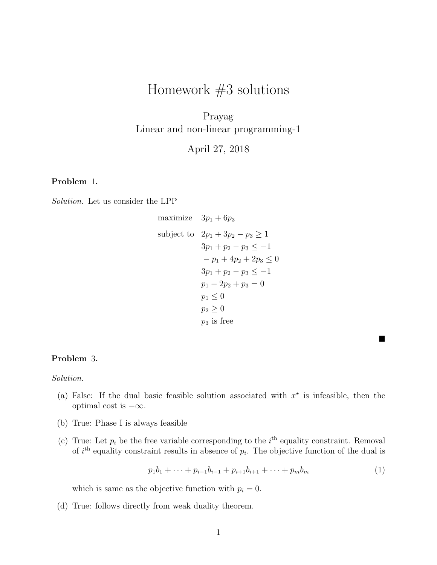# Homework #3 solutions

Prayag Linear and non-linear programming-1

April 27, 2018

# Problem 1.

Solution. Let us consider the LPP

maximize 
$$
3p_1 + 6p_3
$$
  
\nsubject to  $2p_1 + 3p_2 - p_3 \ge 1$   
\n $3p_1 + p_2 - p_3 \le -1$   
\n $-p_1 + 4p_2 + 2p_3 \le 0$   
\n $3p_1 + p_2 - p_3 \le -1$   
\n $p_1 - 2p_2 + p_3 = 0$   
\n $p_1 \le 0$   
\n $p_2 \ge 0$   
\n $p_3$  is free

#### Problem 3.

Solution.

- (a) False: If the dual basic feasible solution associated with  $x^*$  is infeasible, then the optimal cost is  $-\infty$ .
- (b) True: Phase I is always feasible
- (c) True: Let  $p_i$  be the free variable corresponding to the  $i<sup>th</sup>$  equality constraint. Removal of  $i<sup>th</sup>$  equality constraint results in absence of  $p<sub>i</sub>$ . The objective function of the dual is

$$
p_1b_1 + \dots + p_{i-1}b_{i-1} + p_{i+1}b_{i+1} + \dots + p_mb_m \tag{1}
$$

 $\blacksquare$ 

which is same as the objective function with  $p_i = 0$ .

(d) True: follows directly from weak duality theorem.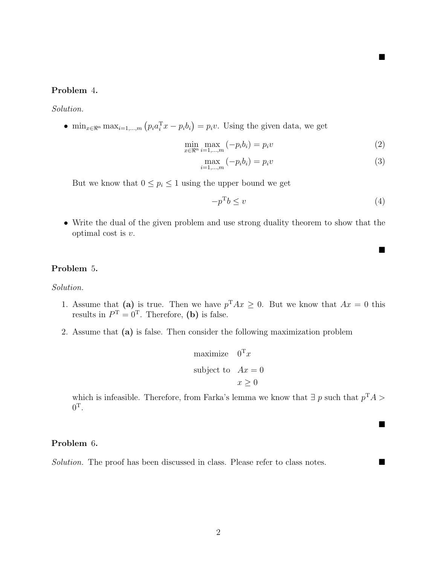# Problem 4.

Solution.

•  $\min_{x \in \mathbb{R}^n} \max_{i=1,\dots,m} (p_i a_i^{\mathrm{T}} x - p_i b_i) = p_i v$ . Using the given data, we get

$$
\min_{x \in \mathbb{R}^n} \max_{i=1,\dots,m} \left( -p_i b_i \right) = p_i v \tag{2}
$$

$$
\max_{i=1,...,m} (-p_i b_i) = p_i v \tag{3}
$$

But we know that  $0 \leq p_i \leq 1$  using the upper bound we get

$$
-p^{\mathrm{T}}b \le v \tag{4}
$$

 $\blacksquare$ 

 $\blacksquare$ 

 $\blacksquare$ 

• Write the dual of the given problem and use strong duality theorem to show that the optimal cost is v.

#### Problem 5.

Solution.

- 1. Assume that (a) is true. Then we have  $p^{T}Ax \geq 0$ . But we know that  $Ax = 0$  this results in  $P^{\mathrm{T}} = 0^{\mathrm{T}}$ . Therefore, (b) is false.
- 2. Assume that (a) is false. Then consider the following maximization problem

maximize 
$$
0^{\mathrm{T}} x
$$
  
subject to  $Ax = 0$   
 $x \ge 0$ 

which is infeasible. Therefore, from Farka's lemma we know that  $\exists p$  such that  $p^{T}A$  $0^{\rm T}.$ 

# Problem 6.

Solution. The proof has been discussed in class. Please refer to class notes.